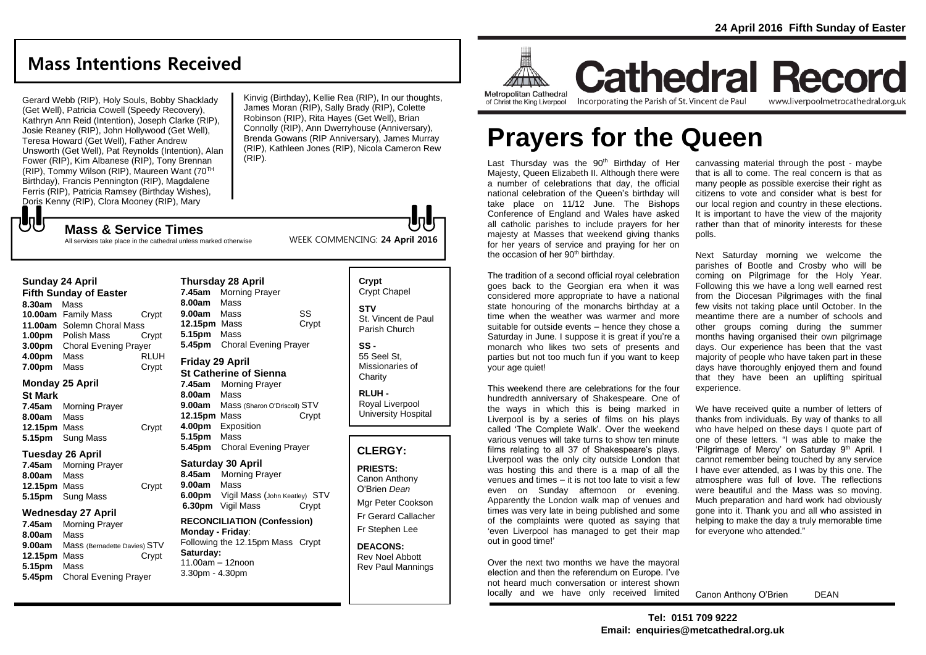# **Mass Intentions Received**

Gerard Webb (RIP), Holy Souls, Bobby Shacklady (Get Well), Patricia Cowell (Speedy Recovery), Kathryn Ann Reid (Intention), Joseph Clarke (RIP), Josie Reaney (RIP), John Hollywood (Get Well), Teresa Howard (Get Well), Father Andrew Unsworth (Get Well), Pat Reynolds (Intention), Alan Fower (RIP), Kim Albanese (RIP), Tony Brennan (RIP), Tommy Wilson (RIP), Maureen Want (70TH Birthday), Francis Pennington (RIP), Magdalene Ferris (RIP), Patricia Ramsey (Birthday Wishes), Doris Kenny (RIP), Clora Mooney (RIP), Mary

**Mass & Service Times**

Kinvig (Birthday), Kellie Rea (RIP), In our thoughts, James Moran (RIP), Sally Brady (RIP), Colette Robinson (RIP), Rita Hayes (Get Well), Brian Connolly (RIP), Ann Dwerryhouse (Anniversary), Brenda Gowans (RIP Anniversary), James Murray (RIP), Kathleen Jones (RIP), Nicola Cameron Rew (RIP).

WEEK COMMENCING: **24 April 2016**

All services take place in the cathedral unless marked otherwise

#### **Sunday 24 April**

JJ

**Fifth Sunday of Easter 8.30am** Mass **10.00am** Family Mass Crypt **11.00am** Solemn Choral Mass **1.00pm** Polish Mass Crypt **3.00pm** Choral Evening Prayer **4.00pm** Mass RLUH **7.00pm** Mass Crypt

#### **Monday 25 April**

**St Mark 7.45am** Morning Prayer **8.00am** Mass 12.15pm Mass **Crypt 5.15pm** Sung Mass

#### **Tuesday 26 April**

**7.45am** Morning Prayer **8.00am** Mass **12.15pm** Mass Crypt **5.15pm** Sung Mass

#### **Wednesday 27 April**

**7.45am** Morning Prayer **8.00am** Mass **9.00am** Mass (Bernadette Davies) STV **12.15pm** Mass Crypt **5.15pm** Mass **5.45pm** Choral Evening Prayer

**Thursday 28 April 7.45am** Morning Prayer **8.00am** Mass **9.00am** Mass SS **12.15pm** Mass Crypt **5.15pm** Mass **5.45pm** Choral Evening Prayer

#### **Friday 29 April St Catherine of Sienna**

**7.45am** Morning Prayer **8.00am** Mass **9.00am** Mass (Sharon O'Driscoll) STV **12.15pm** Mass Crypt **4.00pm** Exposition **5.15pm** Mass **5.45pm** Choral Evening Prayer

#### **Saturday 30 April 8.45am** Morning Prayer **9.00am** Mass **6.00pm** Vigil Mass (John Keatley) STV **6.30pm** Vigil Mass Crypt

**RECONCILIATION (Confession) Monday - Friday**: Following the 12.15pm Mass Crypt **Saturday:** 11.00am – 12noon 3.30pm - 4.30pm

### **Crypt**  Crypt Chapel **STV** St. Vincent de Paul Parish Church

**SS -** 55 Seel St, Missionaries of **Charity** 

**RLUH -** Royal Liverpool University Hospital

## **CLERGY:**

**PRIESTS:** Canon Anthony O'Brien *Dean* Mgr Peter Cookson Fr Gerard Callacher Fr Stephen Lee

**DEACONS:** Rev Noel Abbott Rev Paul Mannings



**Cathedral Record** of Christ the King Liverpool

Incorporating the Parish of St. Vincent de Paul

www.liverpoolmetrocathedral.org.uk

# **Prayers for the Queen**

Last Thursday was the  $90<sup>th</sup>$  Birthday of Her Majesty, Queen Elizabeth II. Although there were a number of celebrations that day, the official national celebration of the Queen's birthday will take place on 11/12 June. The Bishops Conference of England and Wales have asked all catholic parishes to include prayers for her majesty at Masses that weekend giving thanks for her years of service and praying for her on the occasion of her 90<sup>th</sup> birthday.

The tradition of a second official royal celebration goes back to the Georgian era when it was considered more appropriate to have a national state honouring of the monarchs birthday at a time when the weather was warmer and more suitable for outside events – hence they chose a Saturday in June. I suppose it is great if you're a monarch who likes two sets of presents and parties but not too much fun if you want to keep your age quiet!

This weekend there are celebrations for the four hundredth anniversary of Shakespeare. One of the ways in which this is being marked in Liverpool is by a series of films on his plays called 'The Complete Walk'. Over the weekend various venues will take turns to show ten minute films relating to all 37 of Shakespeare's plays. Liverpool was the only city outside London that was hosting this and there is a map of all the venues and times – it is not too late to visit a few even on Sunday afternoon or evening. Apparently the London walk map of venues and times was very late in being published and some of the complaints were quoted as saying that 'even Liverpool has managed to get their map out in good time!'

Over the next two months we have the mayoral election and then the referendum on Europe. I've not heard much conversation or interest shown locally and we have only received limited

canvassing material through the post - maybe that is all to come. The real concern is that as many people as possible exercise their right as citizens to vote and consider what is best for our local region and country in these elections. It is important to have the view of the majority rather than that of minority interests for these polls.

Next Saturday morning we welcome the parishes of Bootle and Crosby who will be coming on Pilgrimage for the Holy Year. Following this we have a long well earned rest from the Diocesan Pilgrimages with the final few visits not taking place until October. In the meantime there are a number of schools and other groups coming during the summer months having organised their own pilgrimage days. Our experience has been that the vast majority of people who have taken part in these days have thoroughly enjoyed them and found that they have been an uplifting spiritual experience.

We have received quite a number of letters of thanks from individuals. By way of thanks to all who have helped on these days I quote part of one of these letters. "I was able to make the 'Pilgrimage of Mercy' on Saturday 9<sup>th</sup> April. I cannot remember being touched by any service I have ever attended, as I was by this one. The atmosphere was full of love. The reflections were beautiful and the Mass was so moving. Much preparation and hard work had obviously gone into it. Thank you and all who assisted in helping to make the day a truly memorable time for everyone who attended."

Canon Anthony O'Brien DEAN